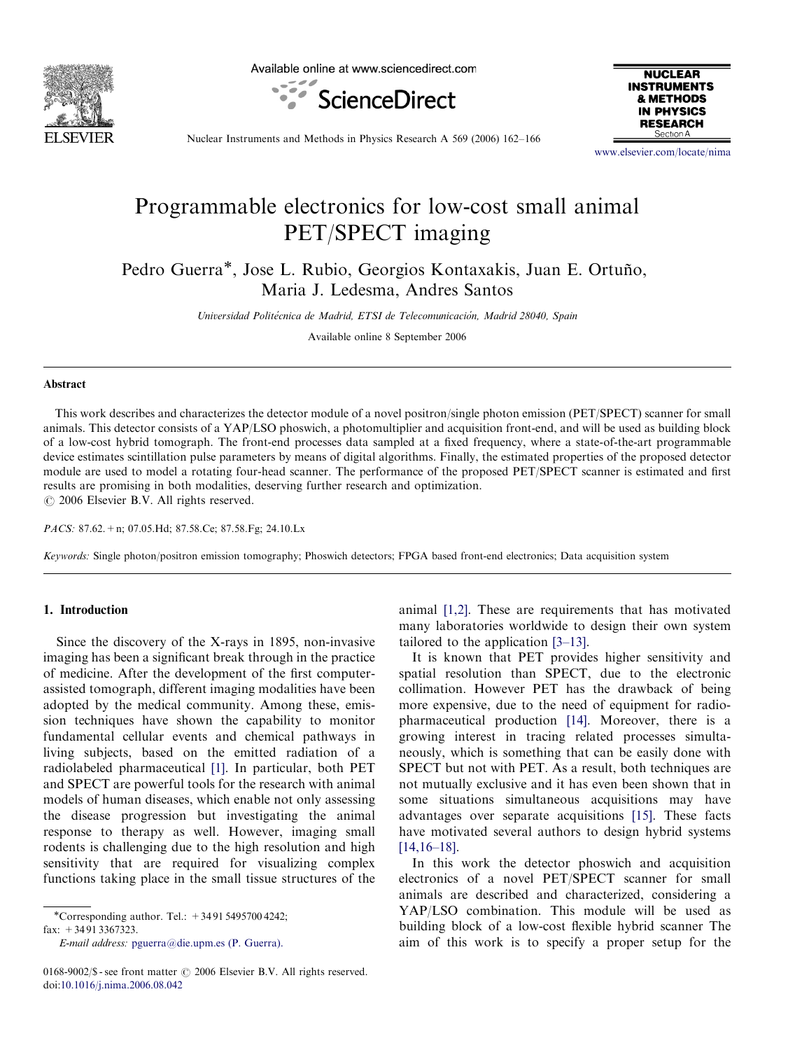

Available online at www.sciencedirect.com





Nuclear Instruments and Methods in Physics Research A 569 (2006) 162–166

<www.elsevier.com/locate/nima>

# Programmable electronics for low-cost small animal PET/SPECT imaging

Pedro Guerra<sup>\*</sup>, Jose L. Rubio, Georgios Kontaxakis, Juan E. Ortuño, Maria J. Ledesma, Andres Santos

Universidad Politécnica de Madrid, ETSI de Telecomunicación, Madrid 28040, Spain

Available online 8 September 2006

#### Abstract

This work describes and characterizes the detector module of a novel positron/single photon emission (PET/SPECT) scanner for small animals. This detector consists of a YAP/LSO phoswich, a photomultiplier and acquisition front-end, and will be used as building block of a low-cost hybrid tomograph. The front-end processes data sampled at a fixed frequency, where a state-of-the-art programmable device estimates scintillation pulse parameters by means of digital algorithms. Finally, the estimated properties of the proposed detector module are used to model a rotating four-head scanner. The performance of the proposed PET/SPECT scanner is estimated and first results are promising in both modalities, deserving further research and optimization.  $\odot$  2006 Elsevier B.V. All rights reserved.

PACS: 87.62.+n; 07.05.Hd; 87.58.Ce; 87.58.Fg; 24.10.Lx

Keywords: Single photon/positron emission tomography; Phoswich detectors; FPGA based front-end electronics; Data acquisition system

# 1. Introduction

Since the discovery of the X-rays in 1895, non-invasive imaging has been a significant break through in the practice of medicine. After the development of the first computerassisted tomograph, different imaging modalities have been adopted by the medical community. Among these, emission techniques have shown the capability to monitor fundamental cellular events and chemical pathways in living subjects, based on the emitted radiation of a radiolabeled pharmaceutical [\[1\]](#page-4-0). In particular, both PET and SPECT are powerful tools for the research with animal models of human diseases, which enable not only assessing the disease progression but investigating the animal response to therapy as well. However, imaging small rodents is challenging due to the high resolution and high sensitivity that are required for visualizing complex functions taking place in the small tissue structures of the

fax: +34 91 3367323.

E-mail address: [pguerra@die.upm.es \(P. Guerra\).](mailto:pguerra@die.upm.es)

animal [\[1,2\].](#page-4-0) These are requirements that has motivated many laboratories worldwide to design their own system tailored to the application [\[3–13\]](#page-4-0).

It is known that PET provides higher sensitivity and spatial resolution than SPECT, due to the electronic collimation. However PET has the drawback of being more expensive, due to the need of equipment for radiopharmaceutical production [\[14\].](#page-4-0) Moreover, there is a growing interest in tracing related processes simultaneously, which is something that can be easily done with SPECT but not with PET. As a result, both techniques are not mutually exclusive and it has even been shown that in some situations simultaneous acquisitions may have advantages over separate acquisitions [\[15\]](#page-4-0). These facts have motivated several authors to design hybrid systems [\[14,16–18\].](#page-4-0)

In this work the detector phoswich and acquisition electronics of a novel PET/SPECT scanner for small animals are described and characterized, considering a YAP/LSO combination. This module will be used as building block of a low-cost flexible hybrid scanner The aim of this work is to specify a proper setup for the

<sup>-</sup>Corresponding author. Tel.: +34 91 5495700 4242;

<sup>0168-9002/\$ -</sup> see front matter  $\odot$  2006 Elsevier B.V. All rights reserved. doi:[10.1016/j.nima.2006.08.042](dx.doi.org/10.1016/j.nima.2006.08.042)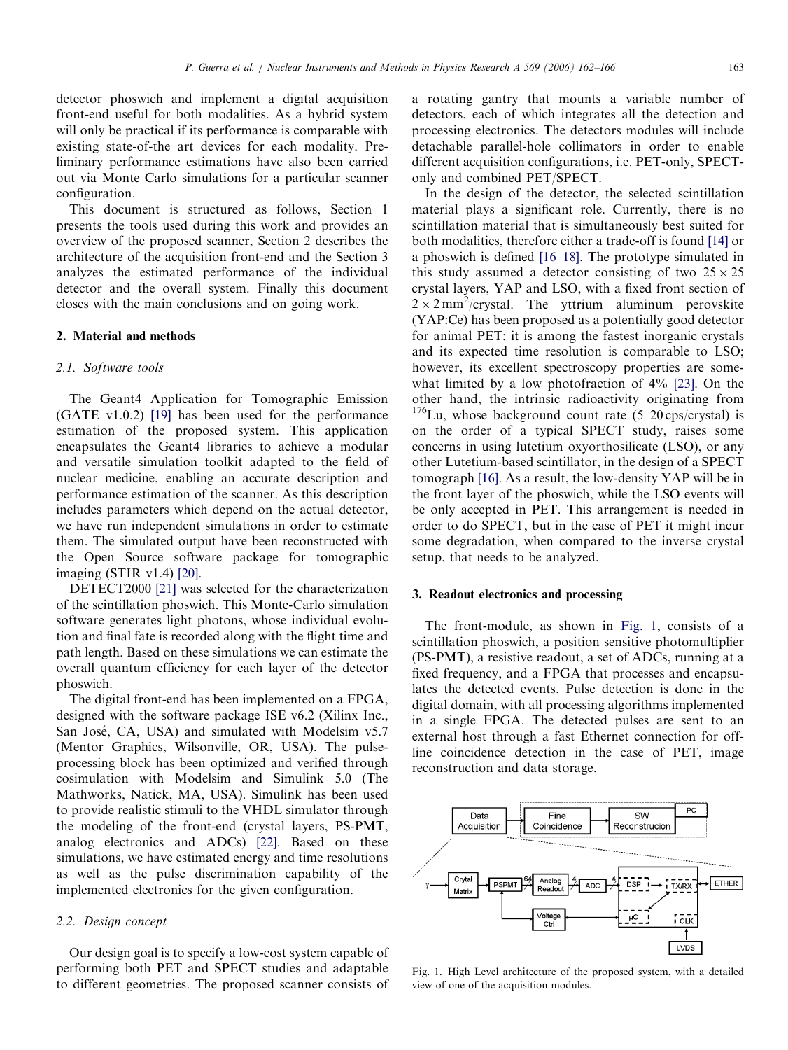detector phoswich and implement a digital acquisition front-end useful for both modalities. As a hybrid system will only be practical if its performance is comparable with existing state-of-the art devices for each modality. Preliminary performance estimations have also been carried out via Monte Carlo simulations for a particular scanner configuration.

This document is structured as follows, Section 1 presents the tools used during this work and provides an overview of the proposed scanner, Section 2 describes the architecture of the acquisition front-end and the Section 3 analyzes the estimated performance of the individual detector and the overall system. Finally this document closes with the main conclusions and on going work.

## 2. Material and methods

## 2.1. Software tools

The Geant4 Application for Tomographic Emission (GATE v1.0.2) [\[19\]](#page-4-0) has been used for the performance estimation of the proposed system. This application encapsulates the Geant4 libraries to achieve a modular and versatile simulation toolkit adapted to the field of nuclear medicine, enabling an accurate description and performance estimation of the scanner. As this description includes parameters which depend on the actual detector, we have run independent simulations in order to estimate them. The simulated output have been reconstructed with the Open Source software package for tomographic imaging (STIR v1.4) [\[20\]](#page-4-0).

DETECT2000 [\[21\]](#page-4-0) was selected for the characterization of the scintillation phoswich. This Monte-Carlo simulation software generates light photons, whose individual evolution and final fate is recorded along with the flight time and path length. Based on these simulations we can estimate the overall quantum efficiency for each layer of the detector phoswich.

The digital front-end has been implemented on a FPGA, designed with the software package ISE v6.2 (Xilinx Inc., San José, CA, USA) and simulated with Modelsim v5.7 (Mentor Graphics, Wilsonville, OR, USA). The pulseprocessing block has been optimized and verified through cosimulation with Modelsim and Simulink 5.0 (The Mathworks, Natick, MA, USA). Simulink has been used to provide realistic stimuli to the VHDL simulator through the modeling of the front-end (crystal layers, PS-PMT, analog electronics and ADCs) [\[22\]](#page-4-0). Based on these simulations, we have estimated energy and time resolutions as well as the pulse discrimination capability of the implemented electronics for the given configuration.

# 2.2. Design concept

Our design goal is to specify a low-cost system capable of performing both PET and SPECT studies and adaptable to different geometries. The proposed scanner consists of a rotating gantry that mounts a variable number of detectors, each of which integrates all the detection and processing electronics. The detectors modules will include detachable parallel-hole collimators in order to enable different acquisition configurations, i.e. PET-only, SPECTonly and combined PET/SPECT.

In the design of the detector, the selected scintillation material plays a significant role. Currently, there is no scintillation material that is simultaneously best suited for both modalities, therefore either a trade-off is found [\[14\]](#page-4-0) or a phoswich is defined [\[16–18\]](#page-4-0). The prototype simulated in this study assumed a detector consisting of two  $25 \times 25$ crystal layers, YAP and LSO, with a fixed front section of  $2 \times 2$  mm<sup>2</sup>/crystal. The yttrium aluminum perovskite (YAP:Ce) has been proposed as a potentially good detector for animal PET: it is among the fastest inorganic crystals and its expected time resolution is comparable to LSO; however, its excellent spectroscopy properties are somewhat limited by a low photofraction of 4% [\[23\].](#page-4-0) On the other hand, the intrinsic radioactivity originating from  $176$ Lu, whose background count rate (5–20 cps/crystal) is on the order of a typical SPECT study, raises some concerns in using lutetium oxyorthosilicate (LSO), or any other Lutetium-based scintillator, in the design of a SPECT tomograph [\[16\].](#page-4-0) As a result, the low-density YAP will be in the front layer of the phoswich, while the LSO events will be only accepted in PET. This arrangement is needed in order to do SPECT, but in the case of PET it might incur some degradation, when compared to the inverse crystal setup, that needs to be analyzed.

# 3. Readout electronics and processing

The front-module, as shown in Fig. 1, consists of a scintillation phoswich, a position sensitive photomultiplier (PS-PMT), a resistive readout, a set of ADCs, running at a fixed frequency, and a FPGA that processes and encapsulates the detected events. Pulse detection is done in the digital domain, with all processing algorithms implemented in a single FPGA. The detected pulses are sent to an external host through a fast Ethernet connection for offline coincidence detection in the case of PET, image reconstruction and data storage.



Fig. 1. High Level architecture of the proposed system, with a detailed view of one of the acquisition modules.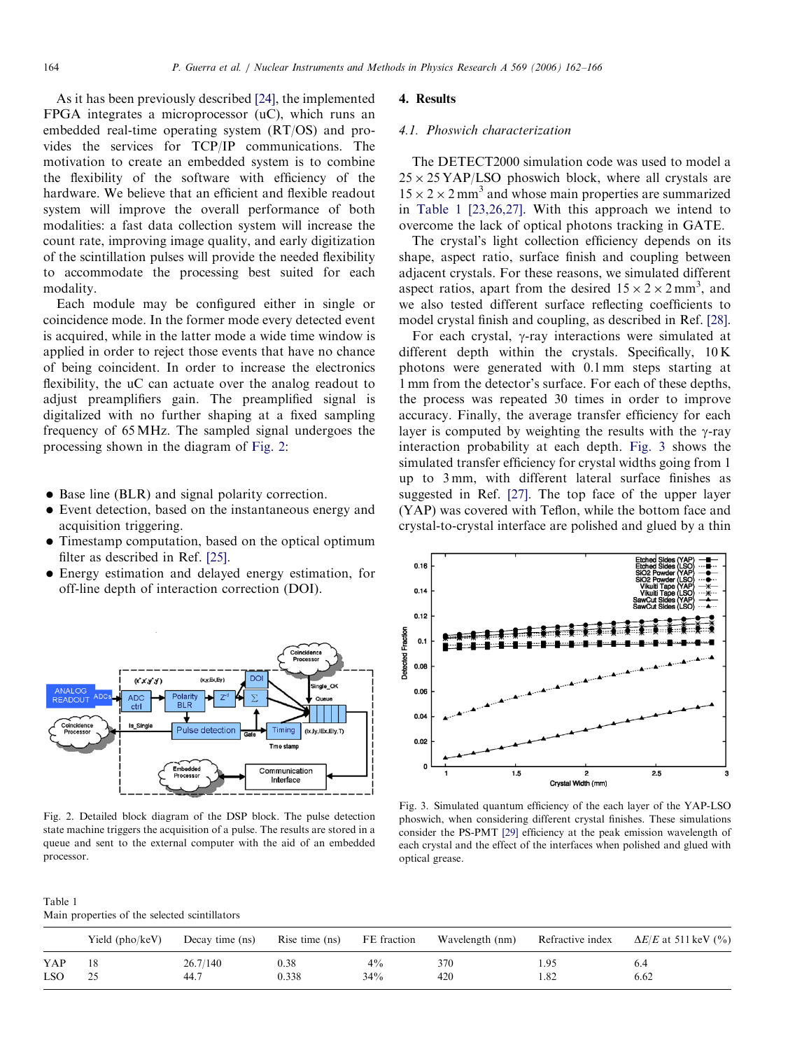<span id="page-2-0"></span>As it has been previously described [\[24\]](#page-4-0), the implemented FPGA integrates a microprocessor (uC), which runs an embedded real-time operating system (RT/OS) and provides the services for TCP/IP communications. The motivation to create an embedded system is to combine the flexibility of the software with efficiency of the hardware. We believe that an efficient and flexible readout system will improve the overall performance of both modalities: a fast data collection system will increase the count rate, improving image quality, and early digitization of the scintillation pulses will provide the needed flexibility to accommodate the processing best suited for each modality.

Each module may be configured either in single or coincidence mode. In the former mode every detected event is acquired, while in the latter mode a wide time window is applied in order to reject those events that have no chance of being coincident. In order to increase the electronics flexibility, the uC can actuate over the analog readout to adjust preamplifiers gain. The preamplified signal is digitalized with no further shaping at a fixed sampling frequency of 65 MHz. The sampled signal undergoes the processing shown in the diagram of Fig. 2:

- Base line (BLR) and signal polarity correction.
- Event detection, based on the instantaneous energy and acquisition triggering.
- Timestamp computation, based on the optical optimum filter as described in Ref. [\[25\].](#page-4-0)
- Energy estimation and delayed energy estimation, for off-line depth of interaction correction (DOI).



Fig. 2. Detailed block diagram of the DSP block. The pulse detection state machine triggers the acquisition of a pulse. The results are stored in a queue and sent to the external computer with the aid of an embedded processor.

| Table 1                                       |  |
|-----------------------------------------------|--|
| Main properties of the selected scintillators |  |

# 4. Results

## 4.1. Phoswich characterization

The DETECT2000 simulation code was used to model a  $25 \times 25$  YAP/LSO phoswich block, where all crystals are  $15 \times 2 \times 2$  mm<sup>3</sup> and whose main properties are summarized in Table 1 [\[23,26,27\]](#page-4-0). With this approach we intend to overcome the lack of optical photons tracking in GATE.

The crystal's light collection efficiency depends on its shape, aspect ratio, surface finish and coupling between adjacent crystals. For these reasons, we simulated different aspect ratios, apart from the desired  $15 \times 2 \times 2$  mm<sup>3</sup>, and we also tested different surface reflecting coefficients to model crystal finish and coupling, as described in Ref. [\[28\]](#page-4-0).

For each crystal,  $\gamma$ -ray interactions were simulated at different depth within the crystals. Specifically, 10 K photons were generated with 0.1 mm steps starting at 1 mm from the detector's surface. For each of these depths, the process was repeated 30 times in order to improve accuracy. Finally, the average transfer efficiency for each layer is computed by weighting the results with the  $\gamma$ -ray interaction probability at each depth. Fig. 3 shows the simulated transfer efficiency for crystal widths going from 1 up to 3 mm, with different lateral surface finishes as suggested in Ref. [\[27\]](#page-4-0). The top face of the upper layer (YAP) was covered with Teflon, while the bottom face and crystal-to-crystal interface are polished and glued by a thin



Fig. 3. Simulated quantum efficiency of the each layer of the YAP-LSO phoswich, when considering different crystal finishes. These simulations consider the PS-PMT [\[29\]](#page-4-0) efficiency at the peak emission wavelength of each crystal and the effect of the interfaces when polished and glued with optical grease.

|            | Yield (pho/keV) | Decay time (ns) | Rise time (ns) | FE fraction | Wavelength (nm) | Refractive index | $\Delta E/E$ at 511 keV (%) |
|------------|-----------------|-----------------|----------------|-------------|-----------------|------------------|-----------------------------|
| YAP        |                 | 26.7/140        | 0.38           | $4\%$       | 370             | . .95            | 6.4                         |
| <b>LSO</b> |                 | 44.7            | 0.338          | 34%         | 420             | . 82             | 6.62                        |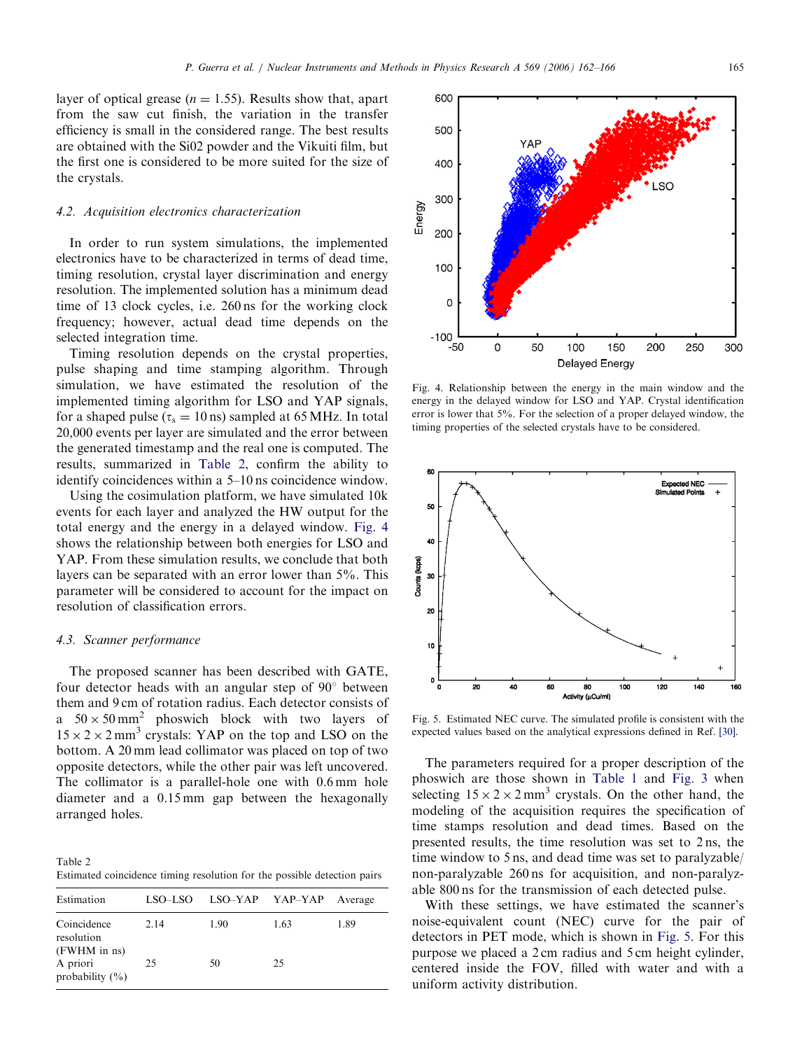layer of optical grease ( $n = 1.55$ ). Results show that, apart from the saw cut finish, the variation in the transfer efficiency is small in the considered range. The best results are obtained with the Si02 powder and the Vikuiti film, but the first one is considered to be more suited for the size of the crystals.

## 4.2. Acquisition electronics characterization

In order to run system simulations, the implemented electronics have to be characterized in terms of dead time, timing resolution, crystal layer discrimination and energy resolution. The implemented solution has a minimum dead time of 13 clock cycles, i.e. 260 ns for the working clock frequency; however, actual dead time depends on the selected integration time.

Timing resolution depends on the crystal properties, pulse shaping and time stamping algorithm. Through simulation, we have estimated the resolution of the implemented timing algorithm for LSO and YAP signals, for a shaped pulse ( $\tau_s = 10 \text{ ns}$ ) sampled at 65 MHz. In total 20,000 events per layer are simulated and the error between the generated timestamp and the real one is computed. The results, summarized in Table 2, confirm the ability to identify coincidences within a 5–10 ns coincidence window.

Using the cosimulation platform, we have simulated 10k events for each layer and analyzed the HW output for the total energy and the energy in a delayed window. Fig. 4 shows the relationship between both energies for LSO and YAP. From these simulation results, we conclude that both layers can be separated with an error lower than 5%. This parameter will be considered to account for the impact on resolution of classification errors.

### 4.3. Scanner performance

The proposed scanner has been described with GATE, four detector heads with an angular step of  $90^{\circ}$  between them and 9 cm of rotation radius. Each detector consists of a  $50 \times 50$  mm<sup>2</sup> phoswich block with two layers of  $15 \times 2 \times 2$  mm<sup>3</sup> crystals: YAP on the top and LSO on the bottom. A 20 mm lead collimator was placed on top of two opposite detectors, while the other pair was left uncovered. The collimator is a parallel-hole one with 0.6 mm hole diameter and a 0.15 mm gap between the hexagonally arranged holes.

Table 2 Estimated coincidence timing resolution for the possible detection pairs

| Estimation                                | LSO-LSO | LSO–YAP YAP–YAP |      | Average |
|-------------------------------------------|---------|-----------------|------|---------|
| Coincidence<br>resolution<br>(FWHM in ns) | 2.14    | 1.90            | 1.63 | 1.89    |
| A priori<br>probability $(\% )$           | 25      | 50              | 25   |         |



Fig. 4. Relationship between the energy in the main window and the energy in the delayed window for LSO and YAP. Crystal identification error is lower that 5%. For the selection of a proper delayed window, the timing properties of the selected crystals have to be considered.



Fig. 5. Estimated NEC curve. The simulated profile is consistent with the expected values based on the analytical expressions defined in Ref. [\[30\]](#page-4-0).

The parameters required for a proper description of the phoswich are those shown in [Table 1](#page-2-0) and [Fig. 3](#page-2-0) when selecting  $15 \times 2 \times 2$  mm<sup>3</sup> crystals. On the other hand, the modeling of the acquisition requires the specification of time stamps resolution and dead times. Based on the presented results, the time resolution was set to 2 ns, the time window to 5 ns, and dead time was set to paralyzable/ non-paralyzable 260 ns for acquisition, and non-paralyzable 800 ns for the transmission of each detected pulse.

With these settings, we have estimated the scanner's noise-equivalent count (NEC) curve for the pair of detectors in PET mode, which is shown in Fig. 5. For this purpose we placed a 2 cm radius and 5 cm height cylinder, centered inside the FOV, filled with water and with a uniform activity distribution.